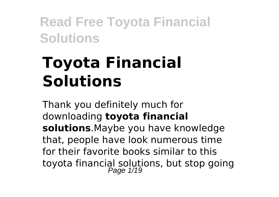# **Toyota Financial Solutions**

Thank you definitely much for downloading **toyota financial solutions**.Maybe you have knowledge that, people have look numerous time for their favorite books similar to this toyota financial solutions, but stop going Page 1/19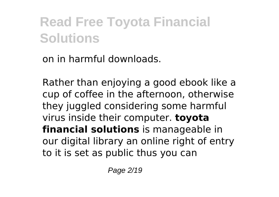on in harmful downloads.

Rather than enjoying a good ebook like a cup of coffee in the afternoon, otherwise they juggled considering some harmful virus inside their computer. **toyota financial solutions** is manageable in our digital library an online right of entry to it is set as public thus you can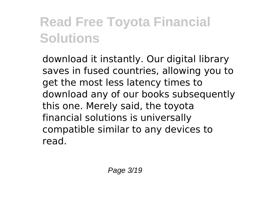download it instantly. Our digital library saves in fused countries, allowing you to get the most less latency times to download any of our books subsequently this one. Merely said, the toyota financial solutions is universally compatible similar to any devices to read.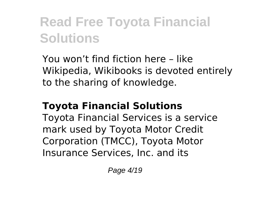You won't find fiction here – like Wikipedia, Wikibooks is devoted entirely to the sharing of knowledge.

#### **Toyota Financial Solutions**

Toyota Financial Services is a service mark used by Toyota Motor Credit Corporation (TMCC), Toyota Motor Insurance Services, Inc. and its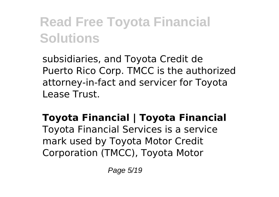subsidiaries, and Toyota Credit de Puerto Rico Corp. TMCC is the authorized attorney-in-fact and servicer for Toyota Lease Trust.

#### **Toyota Financial | Toyota Financial**

Toyota Financial Services is a service mark used by Toyota Motor Credit Corporation (TMCC), Toyota Motor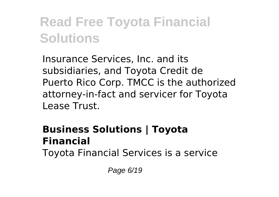Insurance Services, Inc. and its subsidiaries, and Toyota Credit de Puerto Rico Corp. TMCC is the authorized attorney-in-fact and servicer for Toyota Lease Trust.

#### **Business Solutions | Toyota Financial**

Toyota Financial Services is a service

Page 6/19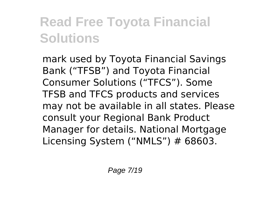mark used by Toyota Financial Savings Bank ("TFSB") and Toyota Financial Consumer Solutions ("TFCS"). Some TFSB and TFCS products and services may not be available in all states. Please consult your Regional Bank Product Manager for details. National Mortgage Licensing System ("NMLS") # 68603.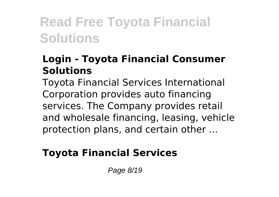#### **Login - Toyota Financial Consumer Solutions**

Toyota Financial Services International Corporation provides auto financing services. The Company provides retail and wholesale financing, leasing, vehicle protection plans, and certain other ...

#### **Toyota Financial Services**

Page 8/19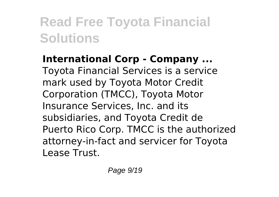**International Corp - Company ...** Toyota Financial Services is a service mark used by Toyota Motor Credit Corporation (TMCC), Toyota Motor Insurance Services, Inc. and its subsidiaries, and Toyota Credit de Puerto Rico Corp. TMCC is the authorized attorney-in-fact and servicer for Toyota Lease Trust.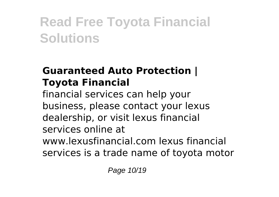#### **Guaranteed Auto Protection | Toyota Financial**

financial services can help your business, please contact your lexus dealership, or visit lexus financial services online at www.lexusfinancial.com lexus financial services is a trade name of toyota motor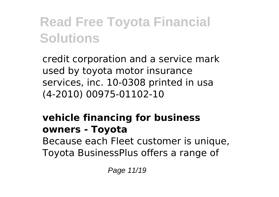credit corporation and a service mark used by toyota motor insurance services, inc. 10-0308 printed in usa (4-2010) 00975-01102-10

#### **vehicle financing for business owners - Toyota**

Because each Fleet customer is unique, Toyota BusinessPlus offers a range of

Page 11/19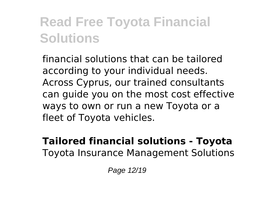financial solutions that can be tailored according to your individual needs. Across Cyprus, our trained consultants can guide you on the most cost effective ways to own or run a new Toyota or a fleet of Toyota vehicles.

#### **Tailored financial solutions - Toyota** Toyota Insurance Management Solutions

Page 12/19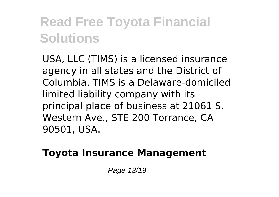USA, LLC (TIMS) is a licensed insurance agency in all states and the District of Columbia. TIMS is a Delaware-domiciled limited liability company with its principal place of business at 21061 S. Western Ave., STE 200 Torrance, CA 90501, USA.

#### **Toyota Insurance Management**

Page 13/19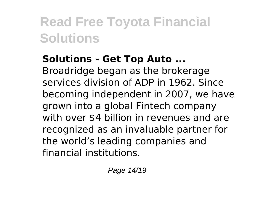#### **Solutions - Get Top Auto ...**

Broadridge began as the brokerage services division of ADP in 1962. Since becoming independent in 2007, we have grown into a global Fintech company with over \$4 billion in revenues and are recognized as an invaluable partner for the world's leading companies and financial institutions.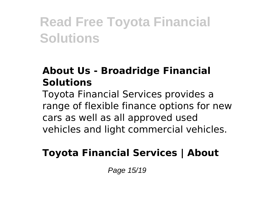#### **About Us - Broadridge Financial Solutions**

Toyota Financial Services provides a range of flexible finance options for new cars as well as all approved used vehicles and light commercial vehicles.

#### **Toyota Financial Services | About**

Page 15/19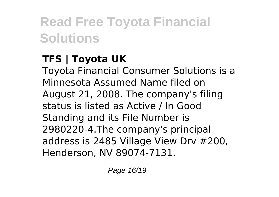#### **TFS | Toyota UK**

Toyota Financial Consumer Solutions is a Minnesota Assumed Name filed on August 21, 2008. The company's filing status is listed as Active / In Good Standing and its File Number is 2980220-4.The company's principal address is 2485 Village View Drv #200, Henderson, NV 89074-7131.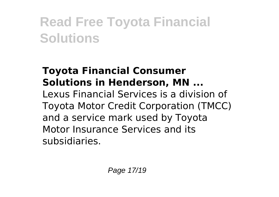#### **Toyota Financial Consumer Solutions in Henderson, MN ...**

Lexus Financial Services is a division of Toyota Motor Credit Corporation (TMCC) and a service mark used by Toyota Motor Insurance Services and its subsidiaries.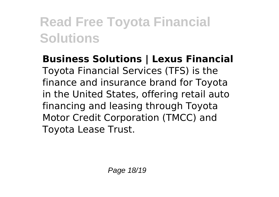**Business Solutions | Lexus Financial** Toyota Financial Services (TFS) is the finance and insurance brand for Toyota in the United States, offering retail auto financing and leasing through Toyota Motor Credit Corporation (TMCC) and Toyota Lease Trust.